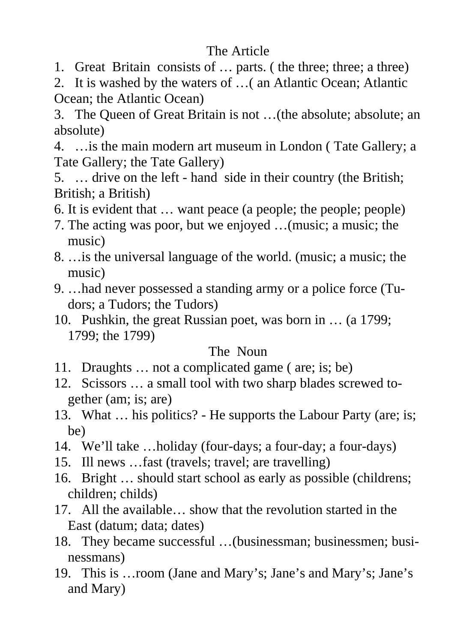# The Article

- 1. Great Britain consists of … parts. ( the three; three; a three)
- 2. It is washed by the waters of …( an Atlantic Ocean; Atlantic Ocean; the Atlantic Ocean)

3. The Queen of Great Britain is not …(the absolute; absolute; an absolute)

4. …is the main modern art museum in London ( Tate Gallery; a Tate Gallery; the Tate Gallery)

5. … drive on the left - hand side in their country (the British; British; a British)

- 6. It is evident that … want peace (a people; the people; people)
- 7. The acting was poor, but we enjoyed …(music; a music; the music)
- 8. …is the universal language of the world. (music; a music; the music)
- 9. …had never possessed a standing army or a police force (Tudors; a Tudors; the Tudors)
- 10. Pushkin, the great Russian poet, was born in … (a 1799; 1799; the 1799)

## The Noun

- 11. Draughts … not a complicated game ( are; is; be)
- 12. Scissors … a small tool with two sharp blades screwed together (am; is; are)
- 13. What … his politics? He supports the Labour Party (are; is; be)
- 14. We'll take …holiday (four-days; a four-day; a four-days)
- 15. Ill news …fast (travels; travel; are travelling)
- 16. Bright … should start school as early as possible (childrens; children; childs)
- 17. All the available… show that the revolution started in the East (datum; data; dates)
- 18. They became successful …(businessman; businessmen; businessmans)
- 19. This is …room (Jane and Mary's; Jane's and Mary's; Jane's and Mary)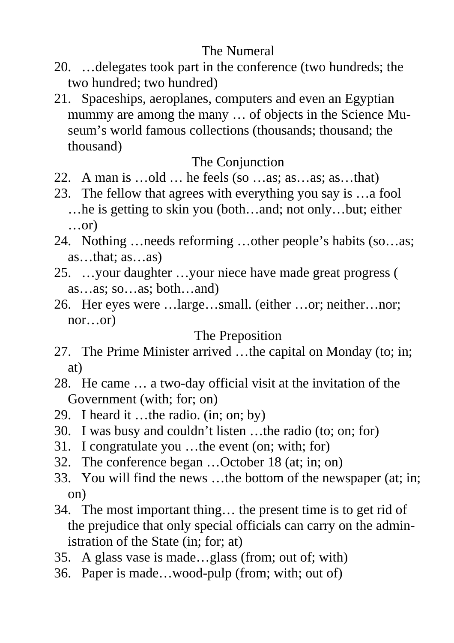## The Numeral

- 20. …delegates took part in the conference (two hundreds; the two hundred; two hundred)
- 21. Spaceships, aeroplanes, computers and even an Egyptian mummy are among the many … of objects in the Science Museum's world famous collections (thousands; thousand; the thousand)

## The Conjunction

- 22. A man is …old … he feels (so …as; as…as; as…that)
- 23. The fellow that agrees with everything you say is …a fool …he is getting to skin you (both…and; not only…but; either …or)
- 24. Nothing …needs reforming …other people's habits (so…as; as…that; as…as)
- 25. …your daughter …your niece have made great progress ( as…as; so…as; both…and)
- 26. Her eyes were …large…small. (either …or; neither…nor; nor…or)

## The Preposition

- 27. The Prime Minister arrived …the capital on Monday (to; in; at)
- 28. He came … a two-day official visit at the invitation of the Government (with; for; on)
- 29. I heard it …the radio. (in; on; by)
- 30. I was busy and couldn't listen …the radio (to; on; for)
- 31. I congratulate you …the event (on; with; for)
- 32. The conference began …October 18 (at; in; on)
- 33. You will find the news …the bottom of the newspaper (at; in; on)
- 34. The most important thing… the present time is to get rid of the prejudice that only special officials can carry on the administration of the State (in; for; at)
- 35. A glass vase is made…glass (from; out of; with)
- 36. Paper is made…wood-pulp (from; with; out of)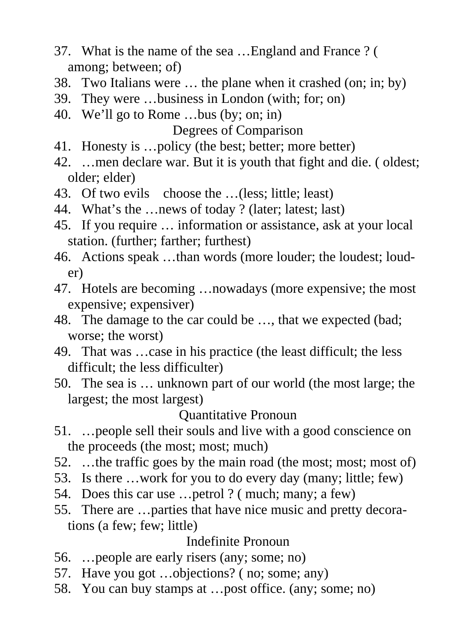- 37. What is the name of the sea …England and France ? ( among; between; of)
- 38. Two Italians were … the plane when it crashed (on; in; by)
- 39. They were …business in London (with; for; on)
- 40. We'll go to Rome …bus (by; on; in) Degrees of Comparison
- 41. Honesty is …policy (the best; better; more better)
- 42. …men declare war. But it is youth that fight and die. ( oldest; older; elder)
- 43. Of two evils choose the …(less; little; least)
- 44. What's the …news of today ? (later; latest; last)
- 45. If you require … information or assistance, ask at your local station. (further; farther; furthest)
- 46. Actions speak …than words (more louder; the loudest; louder)
- 47. Hotels are becoming …nowadays (more expensive; the most expensive; expensiver)
- 48. The damage to the car could be …, that we expected (bad; worse; the worst)
- 49. That was …case in his practice (the least difficult; the less difficult; the less difficulter)
- 50. The sea is … unknown part of our world (the most large; the largest; the most largest)

## Quantitative Pronoun

- 51. …people sell their souls and live with a good conscience on the proceeds (the most; most; much)
- 52. …the traffic goes by the main road (the most; most; most of)
- 53. Is there …work for you to do every day (many; little; few)
- 54. Does this car use …petrol ? ( much; many; a few)
- 55. There are …parties that have nice music and pretty decorations (a few; few; little)

## Indefinite Pronoun

- 56. …people are early risers (any; some; no)
- 57. Have you got …objections? ( no; some; any)
- 58. You can buy stamps at …post office. (any; some; no)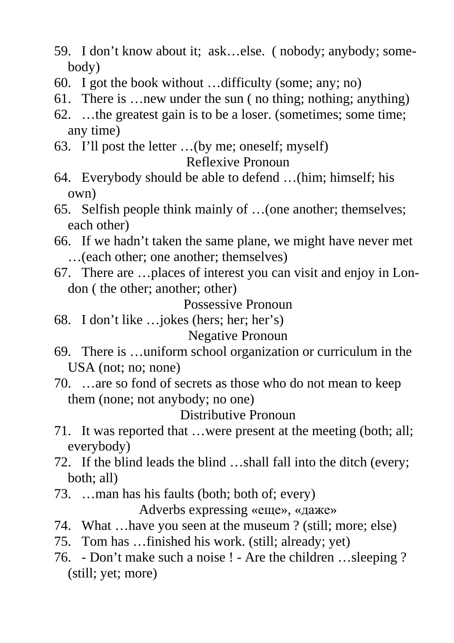- 59. I don't know about it; ask…else. ( nobody; anybody; somebody)
- 60. I got the book without …difficulty (some; any; no)
- 61. There is …new under the sun ( no thing; nothing; anything)
- 62. …the greatest gain is to be a loser. (sometimes; some time; any time)
- 63. I'll post the letter …(by me; oneself; myself) Reflexive Pronoun
- 64. Everybody should be able to defend …(him; himself; his own)
- 65. Selfish people think mainly of …(one another; themselves; each other)
- 66. If we hadn't taken the same plane, we might have never met …(each other; one another; themselves)
- 67. There are …places of interest you can visit and enjoy in London ( the other; another; other)

Possessive Pronoun

- 68. I don't like …jokes (hers; her; her's) Negative Pronoun
- 69. There is …uniform school organization or curriculum in the USA (not; no; none)
- 70. …are so fond of secrets as those who do not mean to keep them (none; not anybody; no one)

Distributive Pronoun

- 71. It was reported that …were present at the meeting (both; all; everybody)
- 72. If the blind leads the blind …shall fall into the ditch (every; both; all)
- 73. …man has his faults (both; both of; every) Adverbs expressing «еще», «даже»
- 74. What …have you seen at the museum ? (still; more; else)
- 75. Tom has …finished his work. (still; already; yet)
- 76. Don't make such a noise ! Are the children …sleeping ? (still; yet; more)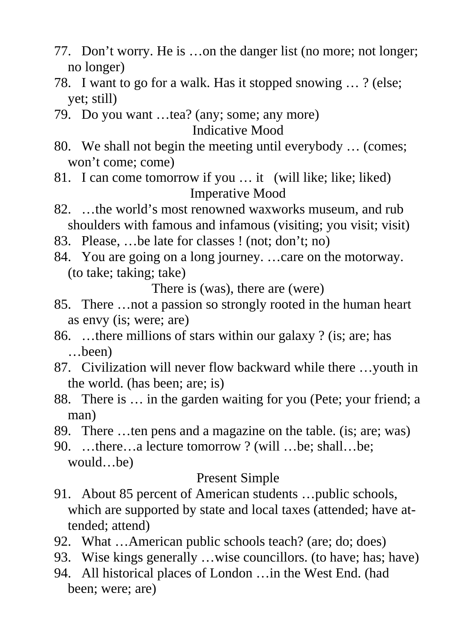- 77. Don't worry. He is …on the danger list (no more; not longer; no longer)
- 78. I want to go for a walk. Has it stopped snowing … ? (else; yet; still)
- 79. Do you want …tea? (any; some; any more) Indicative Mood
- 80. We shall not begin the meeting until everybody … (comes; won't come; come)
- 81. I can come tomorrow if you … it (will like; like; liked) Imperative Mood
- 82. …the world's most renowned waxworks museum, and rub shoulders with famous and infamous (visiting; you visit; visit)
- 83. Please, …be late for classes ! (not; don't; no)
- 84. You are going on a long journey. …care on the motorway. (to take; taking; take)

There is (was), there are (were)

- 85. There …not a passion so strongly rooted in the human heart as envy (is; were; are)
- 86. …there millions of stars within our galaxy ? (is; are; has …been)
- 87. Civilization will never flow backward while there …youth in the world. (has been; are; is)
- 88. There is … in the garden waiting for you (Pete; your friend; a man)
- 89. There …ten pens and a magazine on the table. (is; are; was)
- 90. …there…a lecture tomorrow ? (will …be; shall…be; would…be)

## Present Simple

- 91. About 85 percent of American students …public schools, which are supported by state and local taxes (attended; have attended; attend)
- 92. What …American public schools teach? (are; do; does)
- 93. Wise kings generally …wise councillors. (to have; has; have)
- 94. All historical places of London …in the West End. (had been; were; are)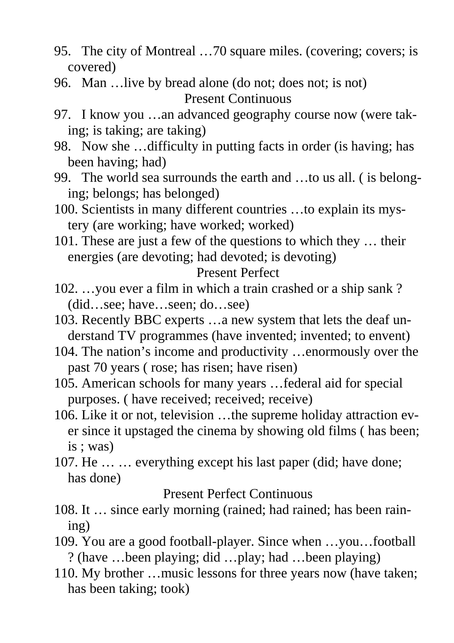- 95. The city of Montreal …70 square miles. (covering; covers; is covered)
- 96. Man …live by bread alone (do not; does not; is not) Present Continuous
- 97. I know you …an advanced geography course now (were taking; is taking; are taking)
- 98. Now she …difficulty in putting facts in order (is having; has been having; had)
- 99. The world sea surrounds the earth and …to us all. ( is belonging; belongs; has belonged)
- 100. Scientists in many different countries …to explain its mystery (are working; have worked; worked)
- 101. These are just a few of the questions to which they … their energies (are devoting; had devoted; is devoting)

#### Present Perfect

- 102. …you ever a film in which a train crashed or a ship sank ? (did…see; have…seen; do…see)
- 103. Recently BBC experts …a new system that lets the deaf understand TV programmes (have invented; invented; to envent)
- 104. The nation's income and productivity …enormously over the past 70 years ( rose; has risen; have risen)
- 105. American schools for many years …federal aid for special purposes. ( have received; received; receive)
- 106. Like it or not, television …the supreme holiday attraction ever since it upstaged the cinema by showing old films ( has been; is ; was)
- 107. He … … everything except his last paper (did; have done; has done)

### Present Perfect Continuous

- 108. It … since early morning (rained; had rained; has been raining)
- 109. You are a good football-player. Since when …you…football ? (have …been playing; did …play; had …been playing)
- 110. My brother …music lessons for three years now (have taken; has been taking; took)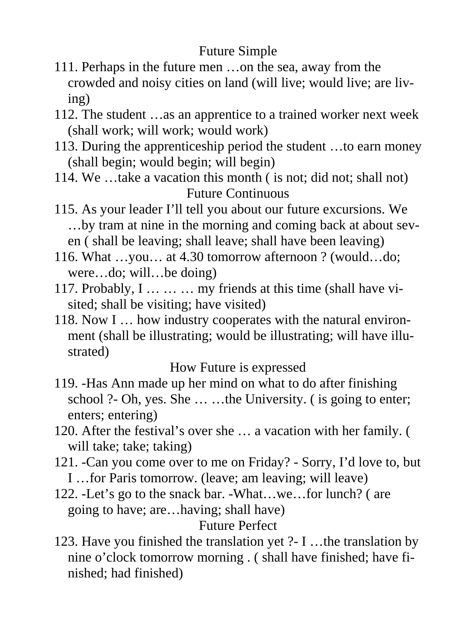# Future Simple

- 111. Perhaps in the future men …on the sea, away from the crowded and noisy cities on land (will live; would live; are living)
- 112. The student …as an apprentice to a trained worker next week (shall work; will work; would work)
- 113. During the apprenticeship period the student …to earn money (shall begin; would begin; will begin)
- 114. We …take a vacation this month ( is not; did not; shall not) Future Continuous
- 115. As your leader I'll tell you about our future excursions. We …by tram at nine in the morning and coming back at about seven ( shall be leaving; shall leave; shall have been leaving)
- 116. What …you… at 4.30 tomorrow afternoon ? (would…do; were…do; will…be doing)
- 117. Probably, I … … … my friends at this time (shall have visited; shall be visiting; have visited)
- 118. Now I … how industry cooperates with the natural environment (shall be illustrating; would be illustrating; will have illustrated)

How Future is expressed

- 119. -Has Ann made up her mind on what to do after finishing school ?- Oh, yes. She ... ...the University. (is going to enter; enters; entering)
- 120. After the festival's over she … a vacation with her family. ( will take; take; taking)
- 121. -Can you come over to me on Friday? Sorry, I'd love to, but I …for Paris tomorrow. (leave; am leaving; will leave)
- 122. -Let's go to the snack bar. -What…we…for lunch? ( are going to have; are…having; shall have)

# Future Perfect

123. Have you finished the translation yet ?- I …the translation by nine o'clock tomorrow morning . ( shall have finished; have finished; had finished)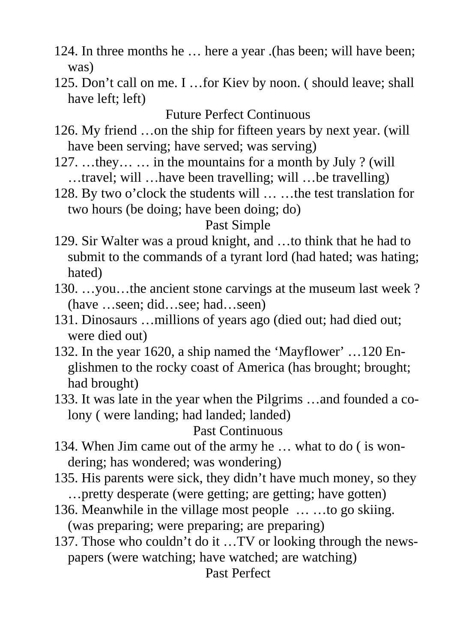- 124. In three months he … here a year .(has been; will have been; was)
- 125. Don't call on me. I …for Kiev by noon. ( should leave; shall have left; left)

Future Perfect Continuous

- 126. My friend …on the ship for fifteen years by next year. (will have been serving; have served; was serving)
- 127. …they… … in the mountains for a month by July ? (will …travel; will …have been travelling; will …be travelling)
- 128. By two o'clock the students will … …the test translation for two hours (be doing; have been doing; do)

### Past Simple

- 129. Sir Walter was a proud knight, and …to think that he had to submit to the commands of a tyrant lord (had hated; was hating; hated)
- 130. …you…the ancient stone carvings at the museum last week ? (have …seen; did…see; had…seen)
- 131. Dinosaurs …millions of years ago (died out; had died out; were died out)
- 132. In the year 1620, a ship named the 'Mayflower' …120 Englishmen to the rocky coast of America (has brought; brought; had brought)
- 133. It was late in the year when the Pilgrims …and founded a colony ( were landing; had landed; landed)

#### Past Continuous

- 134. When Jim came out of the army he … what to do ( is wondering; has wondered; was wondering)
- 135. His parents were sick, they didn't have much money, so they …pretty desperate (were getting; are getting; have gotten)
- 136. Meanwhile in the village most people … …to go skiing. (was preparing; were preparing; are preparing)
- 137. Those who couldn't do it …TV or looking through the newspapers (were watching; have watched; are watching) Past Perfect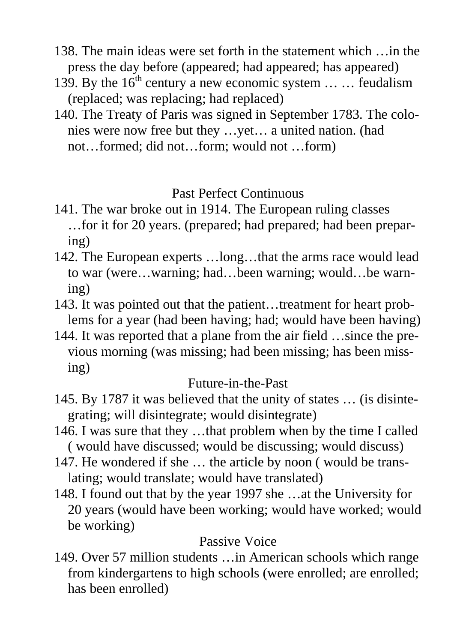- 138. The main ideas were set forth in the statement which …in the press the day before (appeared; had appeared; has appeared)
- 139. By the  $16<sup>th</sup>$  century a new economic system ... ... feudalism (replaced; was replacing; had replaced)
- 140. The Treaty of Paris was signed in September 1783. The colonies were now free but they …yet… a united nation. (had not…formed; did not…form; would not …form)

## Past Perfect Continuous

- 141. The war broke out in 1914. The European ruling classes …for it for 20 years. (prepared; had prepared; had been preparing)
- 142. The European experts …long…that the arms race would lead to war (were…warning; had…been warning; would…be warning)
- 143. It was pointed out that the patient…treatment for heart problems for a year (had been having; had; would have been having)
- 144. It was reported that a plane from the air field …since the previous morning (was missing; had been missing; has been missing)

## Future-in-the-Past

- 145. By 1787 it was believed that the unity of states … (is disintegrating; will disintegrate; would disintegrate)
- 146. I was sure that they …that problem when by the time I called ( would have discussed; would be discussing; would discuss)
- 147. He wondered if she … the article by noon ( would be translating; would translate; would have translated)
- 148. I found out that by the year 1997 she …at the University for 20 years (would have been working; would have worked; would be working)

## Passive Voice

149. Over 57 million students …in American schools which range from kindergartens to high schools (were enrolled; are enrolled; has been enrolled)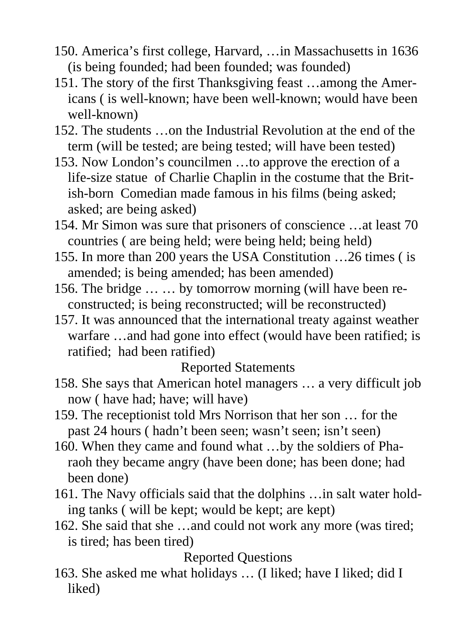- 150. America's first college, Harvard, …in Massachusetts in 1636 (is being founded; had been founded; was founded)
- 151. The story of the first Thanksgiving feast …among the Americans ( is well-known; have been well-known; would have been well-known)
- 152. The students …on the Industrial Revolution at the end of the term (will be tested; are being tested; will have been tested)
- 153. Now London's councilmen …to approve the erection of a life-size statue of Charlie Chaplin in the costume that the British-born Comedian made famous in his films (being asked; asked; are being asked)
- 154. Mr Simon was sure that prisoners of conscience …at least 70 countries ( are being held; were being held; being held)
- 155. In more than 200 years the USA Constitution …26 times ( is amended; is being amended; has been amended)
- 156. The bridge … … by tomorrow morning (will have been reconstructed; is being reconstructed; will be reconstructed)
- 157. It was announced that the international treaty against weather warfare …and had gone into effect (would have been ratified; is ratified; had been ratified)

Reported Statements

- 158. She says that American hotel managers … a very difficult job now ( have had; have; will have)
- 159. The receptionist told Mrs Norrison that her son … for the past 24 hours ( hadn't been seen; wasn't seen; isn't seen)
- 160. When they came and found what …by the soldiers of Pharaoh they became angry (have been done; has been done; had been done)
- 161. The Navy officials said that the dolphins …in salt water holding tanks ( will be kept; would be kept; are kept)
- 162. She said that she …and could not work any more (was tired; is tired; has been tired)

Reported Questions

163. She asked me what holidays … (I liked; have I liked; did I liked)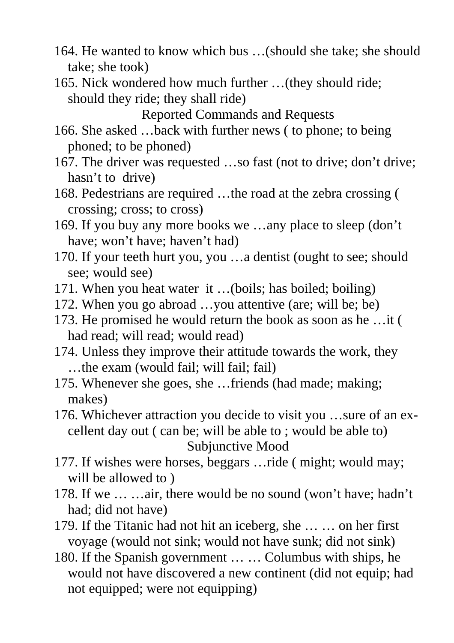- 164. He wanted to know which bus …(should she take; she should take; she took)
- 165. Nick wondered how much further …(they should ride; should they ride; they shall ride)

Reported Commands and Requests

- 166. She asked …back with further news ( to phone; to being phoned; to be phoned)
- 167. The driver was requested …so fast (not to drive; don't drive; hasn't to drive)
- 168. Pedestrians are required …the road at the zebra crossing ( crossing; cross; to cross)
- 169. If you buy any more books we …any place to sleep (don't have; won't have; haven't had)
- 170. If your teeth hurt you, you …a dentist (ought to see; should see; would see)
- 171. When you heat water it …(boils; has boiled; boiling)
- 172. When you go abroad …you attentive (are; will be; be)
- 173. He promised he would return the book as soon as he …it ( had read; will read; would read)
- 174. Unless they improve their attitude towards the work, they …the exam (would fail; will fail; fail)
- 175. Whenever she goes, she …friends (had made; making; makes)

176. Whichever attraction you decide to visit you …sure of an excellent day out ( can be; will be able to ; would be able to) Subjunctive Mood

- 177. If wishes were horses, beggars …ride ( might; would may; will be allowed to )
- 178. If we … …air, there would be no sound (won't have; hadn't had; did not have)
- 179. If the Titanic had not hit an iceberg, she … … on her first voyage (would not sink; would not have sunk; did not sink)
- 180. If the Spanish government … … Columbus with ships, he would not have discovered a new continent (did not equip; had not equipped; were not equipping)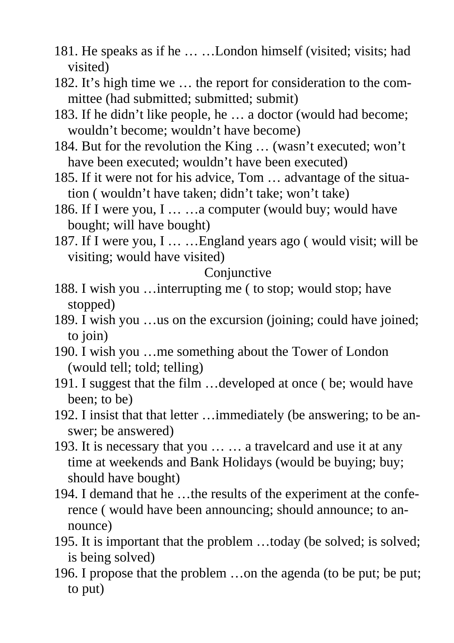- 181. He speaks as if he … …London himself (visited; visits; had visited)
- 182. It's high time we … the report for consideration to the committee (had submitted; submitted; submit)
- 183. If he didn't like people, he … a doctor (would had become; wouldn't become; wouldn't have become)
- 184. But for the revolution the King … (wasn't executed; won't have been executed; wouldn't have been executed)
- 185. If it were not for his advice, Tom … advantage of the situation ( wouldn't have taken; didn't take; won't take)
- 186. If I were you, I … …a computer (would buy; would have bought; will have bought)
- 187. If I were you, I … …England years ago ( would visit; will be visiting; would have visited)

**Conjunctive** 

- 188. I wish you …interrupting me ( to stop; would stop; have stopped)
- 189. I wish you …us on the excursion (joining; could have joined; to join)
- 190. I wish you …me something about the Tower of London (would tell; told; telling)
- 191. I suggest that the film …developed at once ( be; would have been; to be)
- 192. I insist that that letter …immediately (be answering; to be answer; be answered)
- 193. It is necessary that you … … a travelcard and use it at any time at weekends and Bank Holidays (would be buying; buy; should have bought)
- 194. I demand that he …the results of the experiment at the conference ( would have been announcing; should announce; to announce)
- 195. It is important that the problem …today (be solved; is solved; is being solved)
- 196. I propose that the problem …on the agenda (to be put; be put; to put)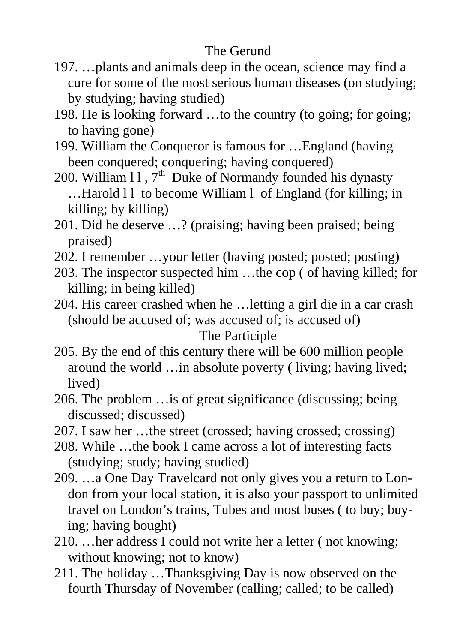# The Gerund

- 197. …plants and animals deep in the ocean, science may find a cure for some of the most serious human diseases (on studying; by studying; having studied)
- 198. He is looking forward …to the country (to going; for going; to having gone)
- 199. William the Conqueror is famous for …England (having been conquered; conquering; having conquered)
- 200. William  $11$ ,  $7<sup>th</sup>$  Duke of Normandy founded his dynasty ...Harold 11 to become William 1 of England (for killing; in killing; by killing)
- 201. Did he deserve …? (praising; having been praised; being praised)
- 202. I remember …your letter (having posted; posted; posting)
- 203. The inspector suspected him …the cop ( of having killed; for killing; in being killed)
- 204. His career crashed when he …letting a girl die in a car crash (should be accused of; was accused of; is accused of) The Participle
- 205. By the end of this century there will be 600 million people around the world …in absolute poverty ( living; having lived; lived)
- 206. The problem …is of great significance (discussing; being discussed; discussed)
- 207. I saw her …the street (crossed; having crossed; crossing)
- 208. While …the book I came across a lot of interesting facts (studying; study; having studied)
- 209. …a One Day Travelcard not only gives you a return to London from your local station, it is also your passport to unlimited travel on London's trains, Tubes and most buses ( to buy; buying; having bought)
- 210. …her address I could not write her a letter ( not knowing; without knowing; not to know)
- 211. The holiday …Thanksgiving Day is now observed on the fourth Thursday of November (calling; called; to be called)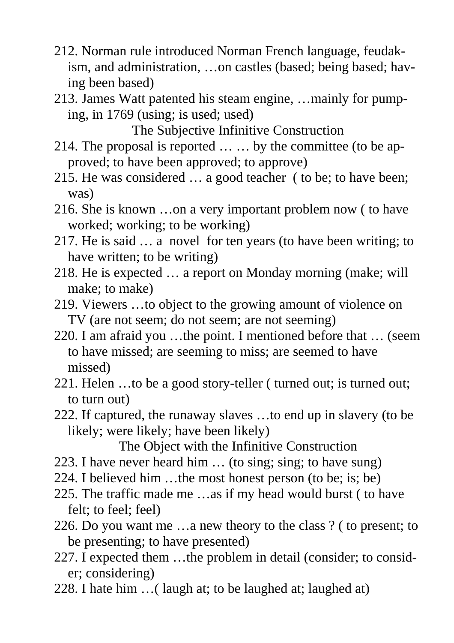- 212. Norman rule introduced Norman French language, feudakism, and administration, …on castles (based; being based; having been based)
- 213. James Watt patented his steam engine, …mainly for pumping, in 1769 (using; is used; used)

The Subjective Infinitive Construction

- 214. The proposal is reported … … by the committee (to be approved; to have been approved; to approve)
- 215. He was considered … a good teacher ( to be; to have been; was)
- 216. She is known …on a very important problem now ( to have worked; working; to be working)
- 217. He is said … a novel for ten years (to have been writing; to have written; to be writing)
- 218. He is expected … a report on Monday morning (make; will make; to make)
- 219. Viewers …to object to the growing amount of violence on TV (are not seem; do not seem; are not seeming)
- 220. I am afraid you …the point. I mentioned before that … (seem to have missed; are seeming to miss; are seemed to have missed)
- 221. Helen …to be a good story-teller ( turned out; is turned out; to turn out)
- 222. If captured, the runaway slaves …to end up in slavery (to be likely; were likely; have been likely)

The Object with the Infinitive Construction

- 223. I have never heard him … (to sing; sing; to have sung)
- 224. I believed him …the most honest person (to be; is; be)
- 225. The traffic made me …as if my head would burst ( to have felt; to feel; feel)
- 226. Do you want me …a new theory to the class ? ( to present; to be presenting; to have presented)
- 227. I expected them …the problem in detail (consider; to consider; considering)
- 228. I hate him …( laugh at; to be laughed at; laughed at)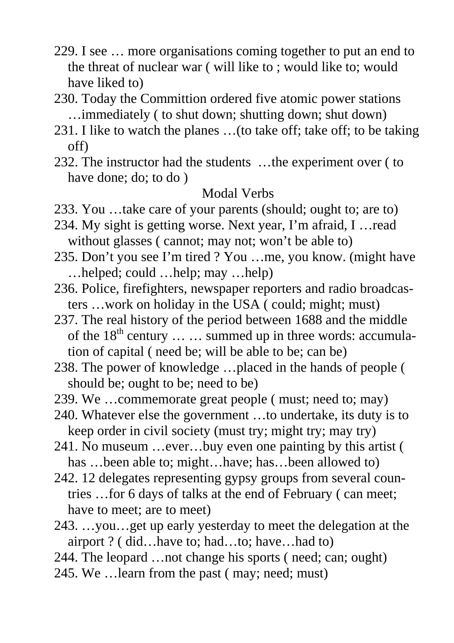- 229. I see … more organisations coming together to put an end to the threat of nuclear war ( will like to ; would like to; would have liked to)
- 230. Today the Committion ordered five atomic power stations …immediately ( to shut down; shutting down; shut down)
- 231. I like to watch the planes …(to take off; take off; to be taking off)
- 232. The instructor had the students …the experiment over ( to have done; do; to do )

### Modal Verbs

- 233. You …take care of your parents (should; ought to; are to)
- 234. My sight is getting worse. Next year, I'm afraid, I …read without glasses ( cannot; may not; won't be able to)
- 235. Don't you see I'm tired ? You …me, you know. (might have …helped; could …help; may …help)
- 236. Police, firefighters, newspaper reporters and radio broadcasters …work on holiday in the USA ( could; might; must)
- 237. The real history of the period between 1688 and the middle of the  $18<sup>th</sup>$  century  $\ldots \ldots$  summed up in three words: accumulation of capital ( need be; will be able to be; can be)
- 238. The power of knowledge …placed in the hands of people ( should be; ought to be; need to be)
- 239. We …commemorate great people ( must; need to; may)
- 240. Whatever else the government …to undertake, its duty is to keep order in civil society (must try; might try; may try)
- 241. No museum …ever…buy even one painting by this artist ( has …been able to; might…have; has…been allowed to)
- 242. 12 delegates representing gypsy groups from several countries …for 6 days of talks at the end of February ( can meet; have to meet; are to meet)
- 243. …you…get up early yesterday to meet the delegation at the airport ? ( did…have to; had…to; have…had to)
- 244. The leopard …not change his sports ( need; can; ought)
- 245. We …learn from the past ( may; need; must)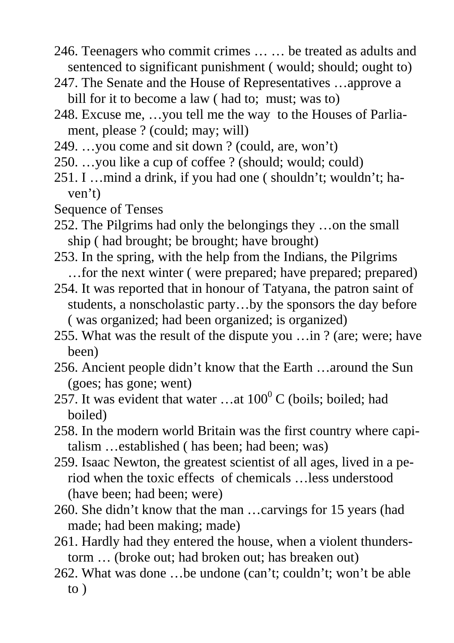- 246. Teenagers who commit crimes … … be treated as adults and sentenced to significant punishment ( would; should; ought to)
- 247. The Senate and the House of Representatives …approve a bill for it to become a law ( had to; must; was to)
- 248. Excuse me, …you tell me the way to the Houses of Parliament, please ? (could; may; will)
- 249. …you come and sit down ? (could, are, won't)
- 250. …you like a cup of coffee ? (should; would; could)
- 251. I …mind a drink, if you had one ( shouldn't; wouldn't; haven't)
- Sequence of Tenses
- 252. The Pilgrims had only the belongings they …on the small ship ( had brought; be brought; have brought)
- 253. In the spring, with the help from the Indians, the Pilgrims …for the next winter ( were prepared; have prepared; prepared)
- 254. It was reported that in honour of Tatyana, the patron saint of students, a nonscholastic party…by the sponsors the day before ( was organized; had been organized; is organized)
- 255. What was the result of the dispute you …in ? (are; were; have been)
- 256. Ancient people didn't know that the Earth …around the Sun (goes; has gone; went)
- 257. It was evident that water ...at  $100^{\circ}$  C (boils; boiled; had boiled)
- 258. In the modern world Britain was the first country where capitalism …established ( has been; had been; was)
- 259. Isaac Newton, the greatest scientist of all ages, lived in a period when the toxic effects of chemicals …less understood (have been; had been; were)
- 260. She didn't know that the man …carvings for 15 years (had made; had been making; made)
- 261. Hardly had they entered the house, when a violent thunderstorm … (broke out; had broken out; has breaken out)
- 262. What was done …be undone (can't; couldn't; won't be able to )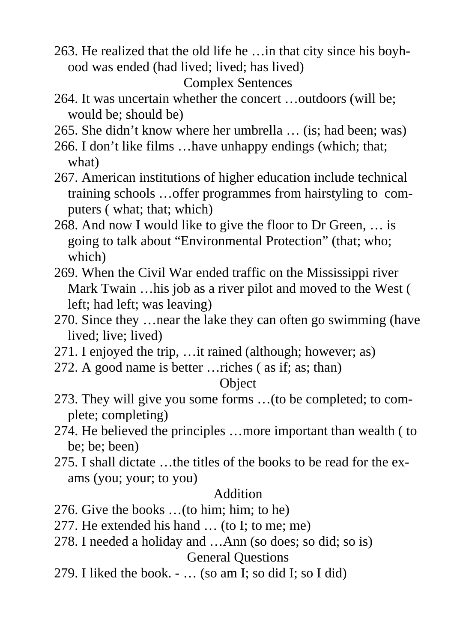263. He realized that the old life he …in that city since his boyhood was ended (had lived; lived; has lived)

```
Complex Sentences
```
- 264. It was uncertain whether the concert …outdoors (will be; would be; should be)
- 265. She didn't know where her umbrella … (is; had been; was)
- 266. I don't like films …have unhappy endings (which; that; what)
- 267. American institutions of higher education include technical training schools …offer programmes from hairstyling to computers ( what; that; which)
- 268. And now I would like to give the floor to Dr Green, … is going to talk about "Environmental Protection" (that; who; which)
- 269. When the Civil War ended traffic on the Mississippi river Mark Twain …his job as a river pilot and moved to the West ( left; had left; was leaving)
- 270. Since they …near the lake they can often go swimming (have lived; live; lived)
- 271. I enjoyed the trip, …it rained (although; however; as)
- 272. A good name is better …riches ( as if; as; than)

# **Object**

- 273. They will give you some forms …(to be completed; to complete; completing)
- 274. He believed the principles …more important than wealth ( to be; be; been)
- 275. I shall dictate …the titles of the books to be read for the exams (you; your; to you)

## Addition

- 276. Give the books …(to him; him; to he)
- 277. He extended his hand … (to I; to me; me)
- 278. I needed a holiday and …Ann (so does; so did; so is) General Questions
- 279. I liked the book. … (so am I; so did I; so I did)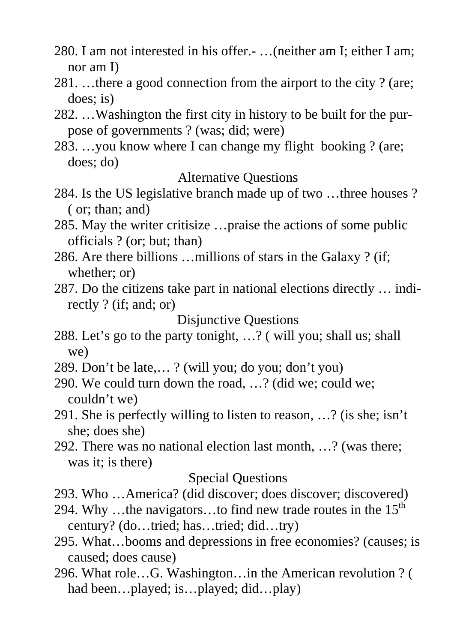- 280. I am not interested in his offer.- …(neither am I; either I am; nor am I)
- 281. …there a good connection from the airport to the city ? (are; does; is)
- 282. …Washington the first city in history to be built for the purpose of governments ? (was; did; were)
- 283. …you know where I can change my flight booking ? (are; does; do)

#### Alternative Questions

- 284. Is the US legislative branch made up of two …three houses ? ( or; than; and)
- 285. May the writer critisize …praise the actions of some public officials ? (or; but; than)
- 286. Are there billions …millions of stars in the Galaxy ? (if; whether; or)
- 287. Do the citizens take part in national elections directly … indirectly ? (if; and; or)

#### Disjunctive Questions

- 288. Let's go to the party tonight, …? ( will you; shall us; shall we)
- 289. Don't be late,… ? (will you; do you; don't you)
- 290. We could turn down the road, …? (did we; could we; couldn't we)
- 291. She is perfectly willing to listen to reason, …? (is she; isn't she; does she)
- 292. There was no national election last month, …? (was there; was it; is there)

#### Special Questions

- 293. Who …America? (did discover; does discover; discovered)
- 294. Why …the navigators…to find new trade routes in the  $15<sup>th</sup>$ century? (do…tried; has…tried; did…try)
- 295. What…booms and depressions in free economies? (causes; is caused; does cause)
- 296. What role…G. Washington…in the American revolution ? ( had been...played; is...played; did...play)